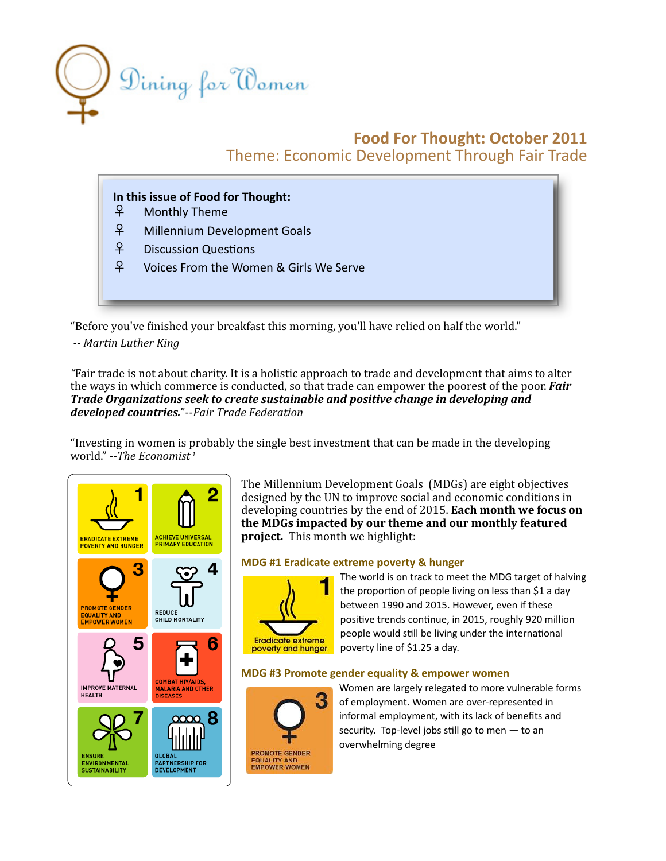

# **Food
For
Thought:
October
2011** Theme:
Economic
Development
Through
Fair
Trade

## In this issue of Food for Thought:

- ♀ Monthly
Theme
- ♀ Millennium
Development
Goals
- f<sup>2</sup> Discussion Questions
- ♀ Voices
From
the
Women
&
Girls
We
Serve

"Before you've finished your breakfast this morning, you'll have relied on half the world."

*Martin
Luther
King*

"Fair trade is not about charity. It is a holistic approach to trade and development that aims to alter the ways in which commerce is conducted, so that trade can empower the poorest of the poor. **Fair** *Trade
Organizations
seek
to
create
sustainable
and
positive
change
in
developing
and developed
countries.*"‐‐*Fair
Trade
Federation* 

"Investing in women is probably the single best investment that can be made in the developing world."
‐*The
Economist [1](#page-3-0)*



The
Millennium
Development
Goals

(MDGs)
are
eight
objectives designed by the UN to improve social and economic conditions in developing countries by the end of 2015. Each month we focus on **the
MDGs
impacted
by
our
theme
and
our
monthly
featured**  project. This month we highlight:

### **MDG
#1
Eradicate
extreme
poverty
&
hunger**



The
world
is
on
track
to
meet
the
MDG
target
of
halving the proportion of people living on less than \$1 a day between
1990
and
2015.
However,
even
if
these positive trends continue, in 2015, roughly 920 million people would still be living under the international poverty
line
of
\$1.25
a
day.

### **MDG
#3
Promote
gender
equality
&
empower
women**



Women
are
largely
relegated
to
more
vulnerable
forms of
employment.
Women
are
over‐represented
in informal
employment,
with
its
lack
of
benefits
and security. Top-level jobs still go to men  $-$  to an overwhelming
degree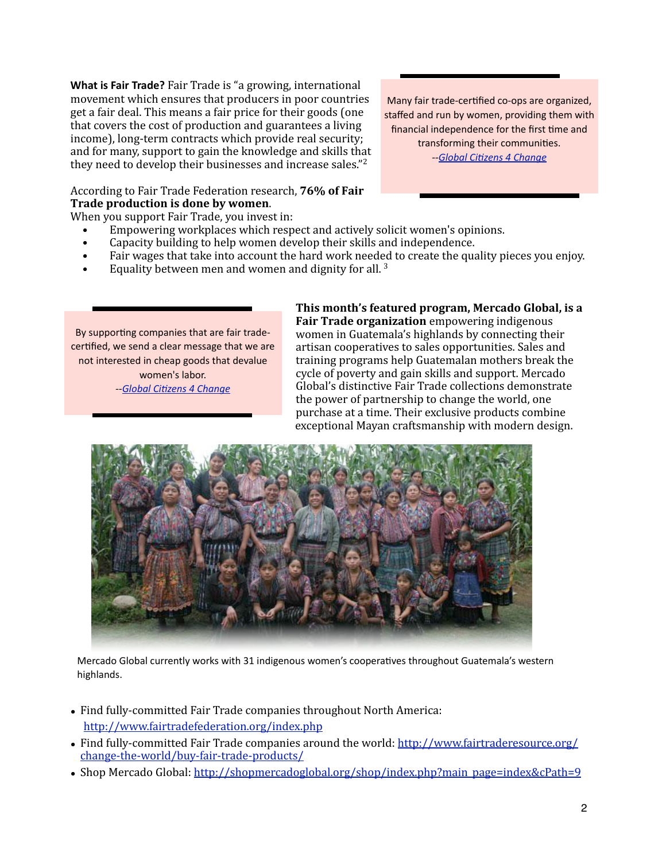What is Fair Trade? Fair Trade is "a growing, international movement
which
ensures
that
producers
in
poor
countries get
a
fair
deal.
This
means
a
fair
price
for
their
goods
(one that
covers
the
cost
of
production
and
guarantees
a
living income), long-term contracts which provide real security; and
for
many,
support
to
gain
the
knowledge
and
skills
that they
need
to
develop
their
businesses
and
increase
sales."[2](#page-3-1)

According
to
Fair
Trade
Federation
research, **76%
of
Fair Trade
production
is
done
by
women**.

When you support Fair Trade, you invest in:

- Empowering workplaces which respect and actively solicit women's opinions.
- Capacity building to help women develop their skills and independence.
- Fair wages that take into account the hard work needed to create the quality pieces you enjoy.
- Equality between men and women and dignity for all.<sup>3</sup>

By supporting companies that are fair tradecertified, we send a clear message that we are not
interested
in
cheap
goods
that
devalue women's
labor. --Global Citizens 4 Change

**This
month's
featured
program,
Mercado
Global,
is
a**  Fair Trade organization empowering indigenous women
in
Guatemala's
highlands
by
connecting
their artisan
cooperatives
to
sales
opportunities.
Sales
and training
programs
help
Guatemalan
mothers
break
the cycle
of
poverty
and
gain
skills
and
support.
Mercado Global's
distinctive
Fair
Trade
collections
demonstrate the
power
of
partnership
to
change
the
world,
one purchase
at
a
time.
Their
exclusive
products
combine exceptional
Mayan
craftsmanship
with
modern
design.



Mercado Global currently works with 31 indigenous women's cooperatives throughout Guatemala's western highlands.

- Find fully-committed Fair Trade companies throughout North America: [http://www.fairtradefederation.org/index.php](http://www.fairtradefederation.org/index.ph)
- Find fully-committed Fair Trade companies around the world: [http://www.fairtraderesource.org/](http://www.fairtraderesource.org/change-the-world/buy-fair-trade-products/) [change‐the‐world/buy‐fair‐trade‐products/](http://www.fairtraderesource.org/change-the-world/buy-fair-trade-products/)
- Shop Mercado Global: http://shopmercadoglobal.org/shop/index.php?main\_page=index&cPath=9

Many fair trade-certified co-ops are organized, staffed
and
run
by
women,
providing
them
with financial independence for the first time and transforming their communities. --Global Citizens 4 Change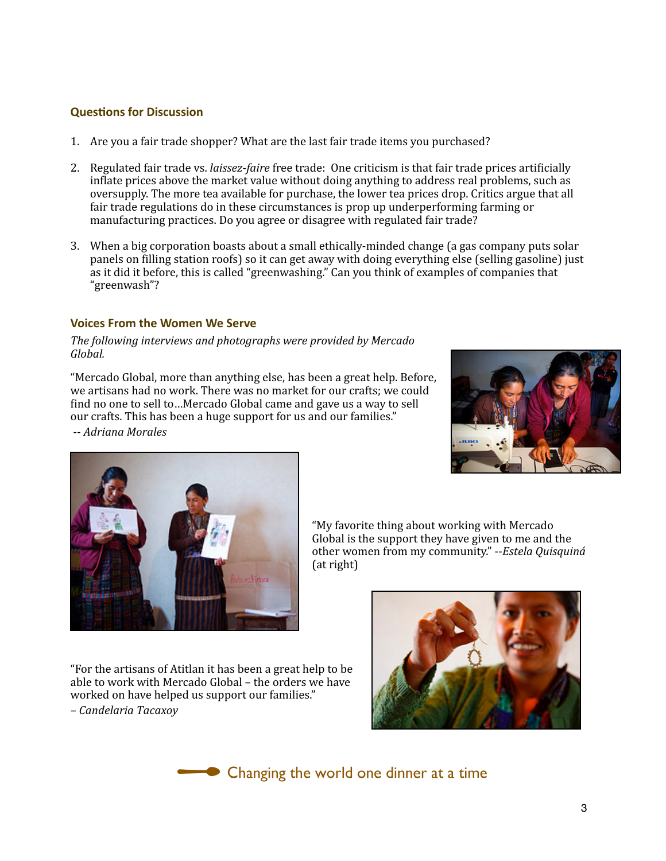## **Questions for Discussion**

- 1. Are
you
a
fair
trade
shopper?
What
are
the
last
fair
trade
items
you
purchased?
- 2. Regulated fair trade vs. *laissez-faire* free trade: One criticism is that fair trade prices artificially inflate prices above the market value without doing anything to address real problems, such as oversupply.
The
more
tea
available
for
purchase,
the
lower
tea
prices
drop.
Critics
argue
that
all fair trade regulations do in these circumstances is prop up underperforming farming or manufacturing
practices.
Do
you
agree
or
disagree
with
regulated
fair
trade?
- 3. When a big corporation boasts about a small ethically-minded change (a gas company puts solar panels on filling station roofs) so it can get away with doing everything else (selling gasoline) just as it did it before, this is called "greenwashing." Can you think of examples of companies that "greenwash"?

## **Voices
From
the
Women
We
Serve**

### The following interviews and photographs were provided by Mercado *Global.*

"Mercado
Global,
more
than
anything
else,
has
been
a
great
help.
Before, we artisans had no work. There was no market for our crafts: we could find no one to sell to ... Mercado Global came and gave us a way to sell our
crafts.
This
has
been
a
huge
support
for
us
and
our
families."

‐‐ *Adriana
Morales*





"My
favorite
thing
about
working
with
Mercado Global is the support they have given to me and the other
women
from
my
community."
‐‐*Estela
Quisquiná* (at
right)

"For
the
artisans
of
Atitlan
it
has
been
a
great
help
to
be able
to
work
with
Mercado
Global
–
the
orders
we
have worked
on
have
helped
us
support
our
families." – *Candelaria
Tacaxoy*